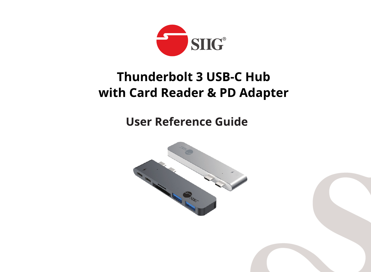

# **Thunderbolt 3 USB-C Hub** with Card Reader & PD Adapter

**User Reference Guide** 

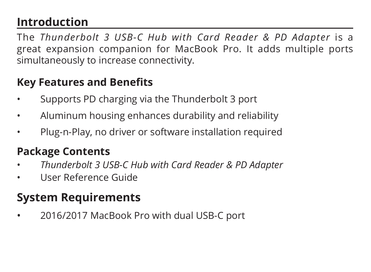## **Introduction**

The *Thunderbolt 3 USB-C Hub with Card Reader & PD Adapter* is a great expansion companion for MacBook Pro. It adds multiple ports simultaneously to increase connectivity.

#### **Key Features and Benefits**

- Supports PD charging via the Thunderbolt 3 port
- Aluminum housing enhances durability and reliability
- Plug-n-Play, no driver or software installation required

### **Package Contents**

- *Thunderbolt 3 USB-C Hub with Card Reader & PD Adapter*
- User Reference Guide

## **System Requirements**

• 2016/2017 MacBook Pro with dual USB-C port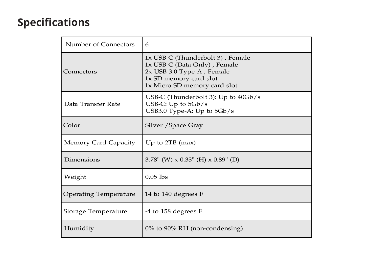#### **Specifications**

| Number of Connectors         | 6                                                                                                                                                       |
|------------------------------|---------------------------------------------------------------------------------------------------------------------------------------------------------|
| Connectors                   | 1x USB-C (Thunderbolt 3), Female<br>1x USB-C (Data Only), Female<br>2x USB 3.0 Type-A, Female<br>1x SD memory card slot<br>1x Micro SD memory card slot |
| Data Transfer Rate           | USB-C (Thunderbolt 3): Up to 40Gb/s<br>USB-C: Up to $5Gb/s$<br>USB3.0 Type-A: Up to $5Gb/s$                                                             |
| Color                        | Silver / Space Gray                                                                                                                                     |
| Memory Card Capacity         | Up to $2TB$ (max)                                                                                                                                       |
| Dimensions                   | 3.78" (W) $\times$ 0.33" (H) $\times$ 0.89" (D)                                                                                                         |
| Weight                       | $0.05$ lbs                                                                                                                                              |
| <b>Operating Temperature</b> | 14 to 140 degrees F                                                                                                                                     |
| Storage Temperature          | -4 to 158 degrees F                                                                                                                                     |
| Humidity                     | $0\%$ to 90% RH (non-condensing)                                                                                                                        |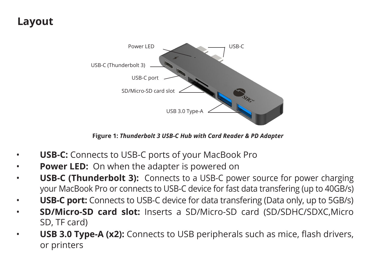#### **Layout**



**Figure 1:** *Thunderbolt 3 USB-C Hub with Card Reader & PD Adapter*

- **USB-C:** Connects to USB-C ports of your MacBook Pro
- **Power LED:** On when the adapter is powered on
- **USB-C (Thunderbolt 3):** Connects to a USB-C power source for power charging your MacBook Pro or connects to USB-C device for fast data transfering (up to 40GB/s)
- **USB-C port:** Connects to USB-C device for data transfering (Data only, up to 5GB/s)
- **SD/Micro-SD card slot:** Inserts a SD/Micro-SD card (SD/SDHC/SDXC,Micro SD, TF card)
- **USB 3.0 Type-A (x2):** Connects to USB peripherals such as mice, flash drivers, or printers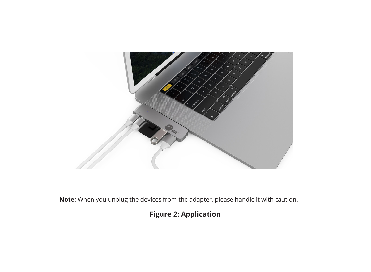

**Note:** When you unplug the devices from the adapter, please handle it with caution.

#### **Figure 2: Application**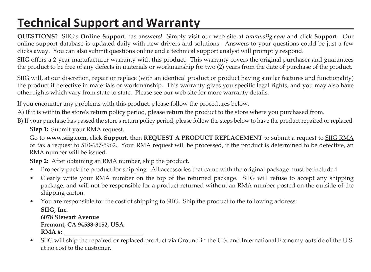## **Technical Support and Warranty**

**QUESTIONS?** SIIG's **Online Support** has answers! Simply visit our web site at *www.siig.com* and click **Support**. Our online support database is updated daily with new drivers and solutions. Answers to your questions could be just a few clicks away. You can also submit questions online and a technical support analyst will promptly respond.

SIIG offers a 2-year manufacturer warranty with this product. This warranty covers the original purchaser and guarantees the product to be free of any defects in materials or workmanship for two (2) years from the date of purchase of the product.

SIIG will, at our discretion, repair or replace (with an identical product or product having similar features and functionality) the product if defective in materials or workmanship. This warranty gives you specific legal rights, and you may also have other rights which vary from state to state. Please see our web site for more warranty details.

If you encounter any problems with this product, please follow the procedures below.

A) If it is within the store's return policy period, please return the product to the store where you purchased from.

B) If your purchase has passed the store's return policy period, please follow the steps below to have the product repaired or replaced.

**Step 1:** Submit your RMA request.

Go to **www.siig.com**, click **Support**, then **REQUEST A PRODUCT REPLACEMENT** to submit a request to SIIG RMA or fax a request to 510-657-5962. Your RMA request will be processed, if the product is determined to be defective, an RMA number will be issued.

**Step 2:** After obtaining an RMA number, ship the product.

- Properly pack the product for shipping. All accessories that came with the original package must be included.
- Clearly write your RMA number on the top of the returned package. SIIG will refuse to accept any shipping package, and will not be responsible for a product returned without an RMA number posted on the outside of the shipping carton.
- You are responsible for the cost of shipping to SIIG. Ship the product to the following address:

**SIIG, Inc. 6078 Stewart Avenue Fremont, CA 94538-3152, USA RMA #:** 

• SIIG will ship the repaired or replaced product via Ground in the U.S. and International Economy outside of the U.S. at no cost to the customer.